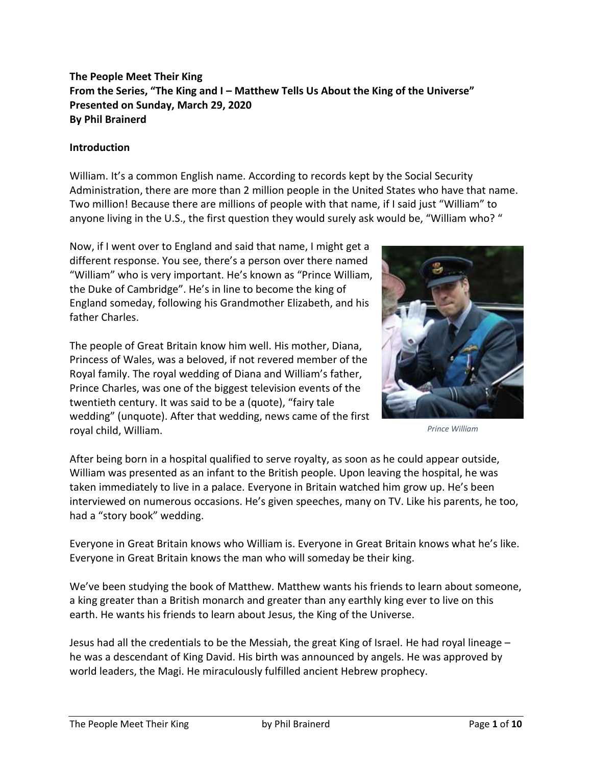# **The People Meet Their King From the Series, "The King and I – Matthew Tells Us About the King of the Universe" Presented on Sunday, March 29, 2020 By Phil Brainerd**

#### **Introduction**

William. It's a common English name. According to records kept by the Social Security Administration, there are more than 2 million people in the United States who have that name. Two million! Because there are millions of people with that name, if I said just "William" to anyone living in the U.S., the first question they would surely ask would be, "William who? "

Now, if I went over to England and said that name, I might get a different response. You see, there's a person over there named "William" who is very important. He's known as "Prince William, the Duke of Cambridge". He's in line to become the king of England someday, following his Grandmother Elizabeth, and his father Charles.

The people of Great Britain know him well. His mother, Diana, Princess of Wales, was a beloved, if not revered member of the Royal family. The royal wedding of Diana and William's father, Prince Charles, was one of the biggest television events of the twentieth century. It was said to be a (quote), "fairy tale wedding" (unquote). After that wedding, news came of the first royal child, William.



*Prince William*

After being born in a hospital qualified to serve royalty, as soon as he could appear outside, William was presented as an infant to the British people. Upon leaving the hospital, he was taken immediately to live in a palace. Everyone in Britain watched him grow up. He's been interviewed on numerous occasions. He's given speeches, many on TV. Like his parents, he too, had a "story book" wedding.

Everyone in Great Britain knows who William is. Everyone in Great Britain knows what he's like. Everyone in Great Britain knows the man who will someday be their king.

We've been studying the book of Matthew. Matthew wants his friends to learn about someone, a king greater than a British monarch and greater than any earthly king ever to live on this earth. He wants his friends to learn about Jesus, the King of the Universe.

Jesus had all the credentials to be the Messiah, the great King of Israel. He had royal lineage – he was a descendant of King David. His birth was announced by angels. He was approved by world leaders, the Magi. He miraculously fulfilled ancient Hebrew prophecy.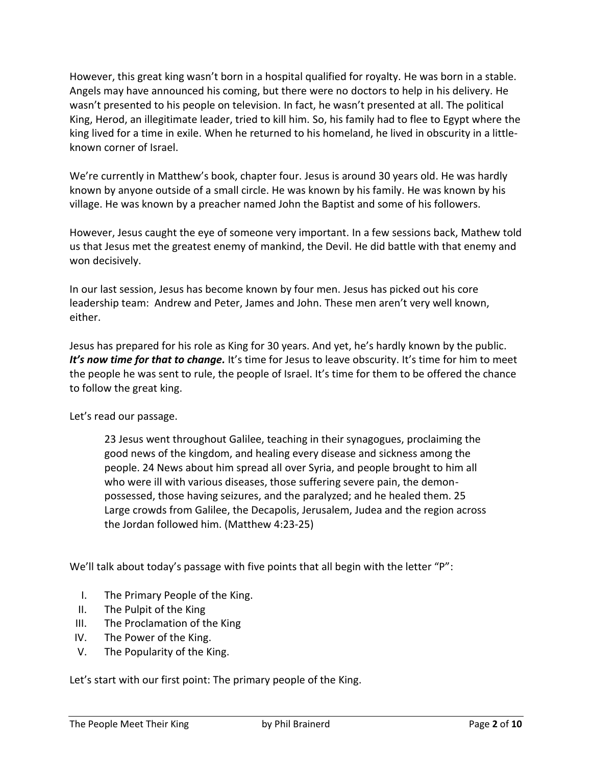However, this great king wasn't born in a hospital qualified for royalty. He was born in a stable. Angels may have announced his coming, but there were no doctors to help in his delivery. He wasn't presented to his people on television. In fact, he wasn't presented at all. The political King, Herod, an illegitimate leader, tried to kill him. So, his family had to flee to Egypt where the king lived for a time in exile. When he returned to his homeland, he lived in obscurity in a littleknown corner of Israel.

We're currently in Matthew's book, chapter four. Jesus is around 30 years old. He was hardly known by anyone outside of a small circle. He was known by his family. He was known by his village. He was known by a preacher named John the Baptist and some of his followers.

However, Jesus caught the eye of someone very important. In a few sessions back, Mathew told us that Jesus met the greatest enemy of mankind, the Devil. He did battle with that enemy and won decisively.

In our last session, Jesus has become known by four men. Jesus has picked out his core leadership team: Andrew and Peter, James and John. These men aren't very well known, either.

Jesus has prepared for his role as King for 30 years. And yet, he's hardly known by the public. *It's now time for that to change.* It's time for Jesus to leave obscurity. It's time for him to meet the people he was sent to rule, the people of Israel. It's time for them to be offered the chance to follow the great king.

Let's read our passage.

23 Jesus went throughout Galilee, teaching in their synagogues, proclaiming the good news of the kingdom, and healing every disease and sickness among the people. 24 News about him spread all over Syria, and people brought to him all who were ill with various diseases, those suffering severe pain, the demonpossessed, those having seizures, and the paralyzed; and he healed them. 25 Large crowds from Galilee, the Decapolis, Jerusalem, Judea and the region across the Jordan followed him. (Matthew 4:23-25)

We'll talk about today's passage with five points that all begin with the letter "P":

- I. The Primary People of the King.
- II. The Pulpit of the King
- III. The Proclamation of the King
- IV. The Power of the King.
- V. The Popularity of the King.

Let's start with our first point: The primary people of the King.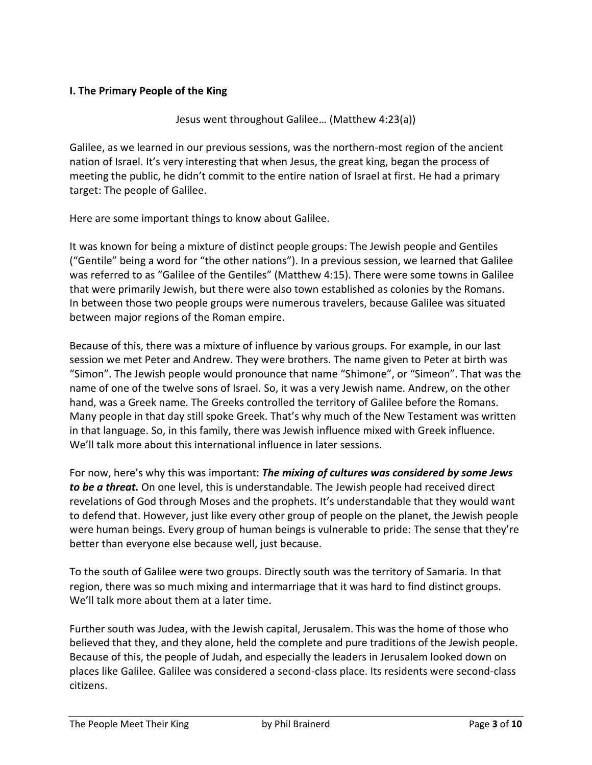## **I. The Primary People of the King**

Jesus went throughout Galilee… (Matthew 4:23(a))

Galilee, as we learned in our previous sessions, was the northern-most region of the ancient nation of Israel. It's very interesting that when Jesus, the great king, began the process of meeting the public, he didn't commit to the entire nation of Israel at first. He had a primary target: The people of Galilee.

Here are some important things to know about Galilee.

It was known for being a mixture of distinct people groups: The Jewish people and Gentiles ("Gentile" being a word for "the other nations"). In a previous session, we learned that Galilee was referred to as "Galilee of the Gentiles" (Matthew 4:15). There were some towns in Galilee that were primarily Jewish, but there were also town established as colonies by the Romans. In between those two people groups were numerous travelers, because Galilee was situated between major regions of the Roman empire.

Because of this, there was a mixture of influence by various groups. For example, in our last session we met Peter and Andrew. They were brothers. The name given to Peter at birth was "Simon". The Jewish people would pronounce that name "Shimone", or "Simeon". That was the name of one of the twelve sons of Israel. So, it was a very Jewish name. Andrew, on the other hand, was a Greek name. The Greeks controlled the territory of Galilee before the Romans. Many people in that day still spoke Greek. That's why much of the New Testament was written in that language. So, in this family, there was Jewish influence mixed with Greek influence. We'll talk more about this international influence in later sessions.

For now, here's why this was important: *The mixing of cultures was considered by some Jews to be a threat.* On one level, this is understandable. The Jewish people had received direct revelations of God through Moses and the prophets. It's understandable that they would want to defend that. However, just like every other group of people on the planet, the Jewish people were human beings. Every group of human beings is vulnerable to pride: The sense that they're better than everyone else because well, just because.

To the south of Galilee were two groups. Directly south was the territory of Samaria. In that region, there was so much mixing and intermarriage that it was hard to find distinct groups. We'll talk more about them at a later time.

Further south was Judea, with the Jewish capital, Jerusalem. This was the home of those who believed that they, and they alone, held the complete and pure traditions of the Jewish people. Because of this, the people of Judah, and especially the leaders in Jerusalem looked down on places like Galilee. Galilee was considered a second-class place. Its residents were second-class citizens.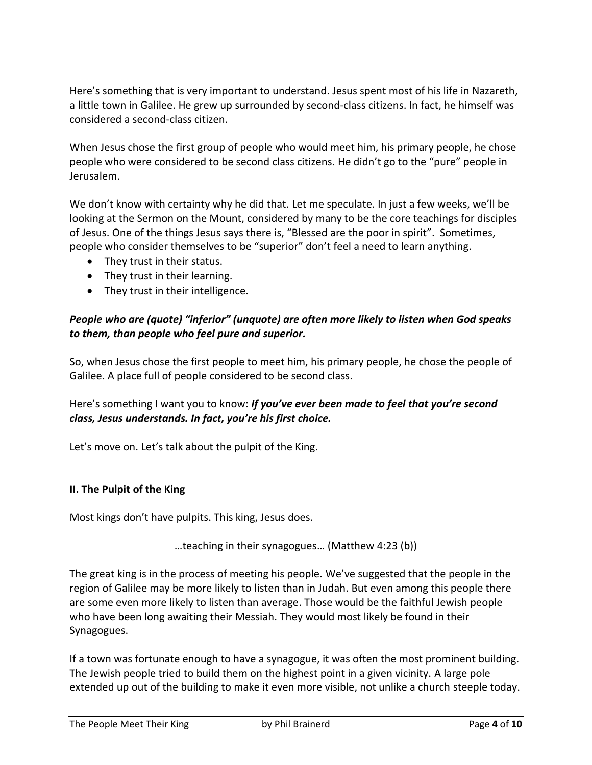Here's something that is very important to understand. Jesus spent most of his life in Nazareth, a little town in Galilee. He grew up surrounded by second-class citizens. In fact, he himself was considered a second-class citizen.

When Jesus chose the first group of people who would meet him, his primary people, he chose people who were considered to be second class citizens. He didn't go to the "pure" people in Jerusalem.

We don't know with certainty why he did that. Let me speculate. In just a few weeks, we'll be looking at the Sermon on the Mount, considered by many to be the core teachings for disciples of Jesus. One of the things Jesus says there is, "Blessed are the poor in spirit". Sometimes, people who consider themselves to be "superior" don't feel a need to learn anything.

- They trust in their status.
- They trust in their learning.
- They trust in their intelligence.

## *People who are (quote) "inferior" (unquote) are often more likely to listen when God speaks to them, than people who feel pure and superior.*

So, when Jesus chose the first people to meet him, his primary people, he chose the people of Galilee. A place full of people considered to be second class.

# Here's something I want you to know: *If you've ever been made to feel that you're second class, Jesus understands. In fact, you're his first choice.*

Let's move on. Let's talk about the pulpit of the King.

#### **II. The Pulpit of the King**

Most kings don't have pulpits. This king, Jesus does.

…teaching in their synagogues… (Matthew 4:23 (b))

The great king is in the process of meeting his people. We've suggested that the people in the region of Galilee may be more likely to listen than in Judah. But even among this people there are some even more likely to listen than average. Those would be the faithful Jewish people who have been long awaiting their Messiah. They would most likely be found in their Synagogues.

If a town was fortunate enough to have a synagogue, it was often the most prominent building. The Jewish people tried to build them on the highest point in a given vicinity. A large pole extended up out of the building to make it even more visible, not unlike a church steeple today.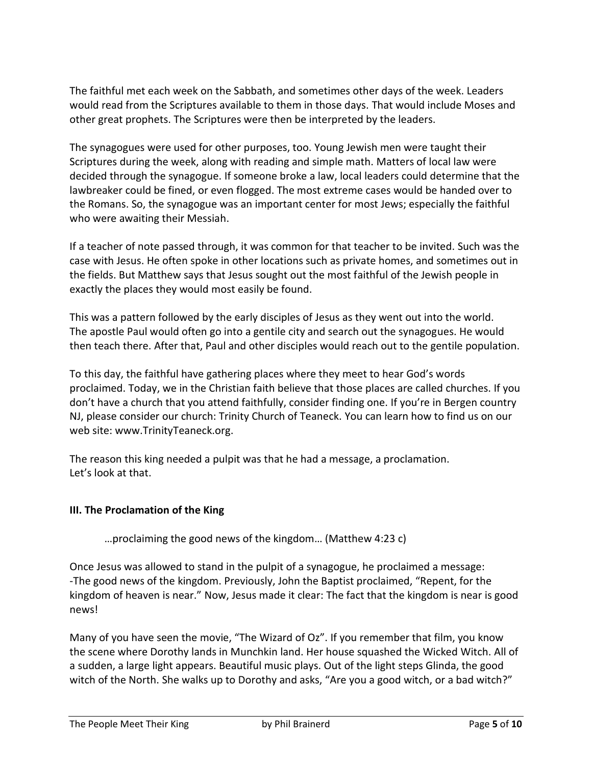The faithful met each week on the Sabbath, and sometimes other days of the week. Leaders would read from the Scriptures available to them in those days. That would include Moses and other great prophets. The Scriptures were then be interpreted by the leaders.

The synagogues were used for other purposes, too. Young Jewish men were taught their Scriptures during the week, along with reading and simple math. Matters of local law were decided through the synagogue. If someone broke a law, local leaders could determine that the lawbreaker could be fined, or even flogged. The most extreme cases would be handed over to the Romans. So, the synagogue was an important center for most Jews; especially the faithful who were awaiting their Messiah.

If a teacher of note passed through, it was common for that teacher to be invited. Such was the case with Jesus. He often spoke in other locations such as private homes, and sometimes out in the fields. But Matthew says that Jesus sought out the most faithful of the Jewish people in exactly the places they would most easily be found.

This was a pattern followed by the early disciples of Jesus as they went out into the world. The apostle Paul would often go into a gentile city and search out the synagogues. He would then teach there. After that, Paul and other disciples would reach out to the gentile population.

To this day, the faithful have gathering places where they meet to hear God's words proclaimed. Today, we in the Christian faith believe that those places are called churches. If you don't have a church that you attend faithfully, consider finding one. If you're in Bergen country NJ, please consider our church: Trinity Church of Teaneck. You can learn how to find us on our web site: www.TrinityTeaneck.org.

The reason this king needed a pulpit was that he had a message, a proclamation. Let's look at that.

## **III. The Proclamation of the King**

…proclaiming the good news of the kingdom… (Matthew 4:23 c)

Once Jesus was allowed to stand in the pulpit of a synagogue, he proclaimed a message: -The good news of the kingdom. Previously, John the Baptist proclaimed, "Repent, for the kingdom of heaven is near." Now, Jesus made it clear: The fact that the kingdom is near is good news!

Many of you have seen the movie, "The Wizard of Oz". If you remember that film, you know the scene where Dorothy lands in Munchkin land. Her house squashed the Wicked Witch. All of a sudden, a large light appears. Beautiful music plays. Out of the light steps Glinda, the good witch of the North. She walks up to Dorothy and asks, "Are you a good witch, or a bad witch?"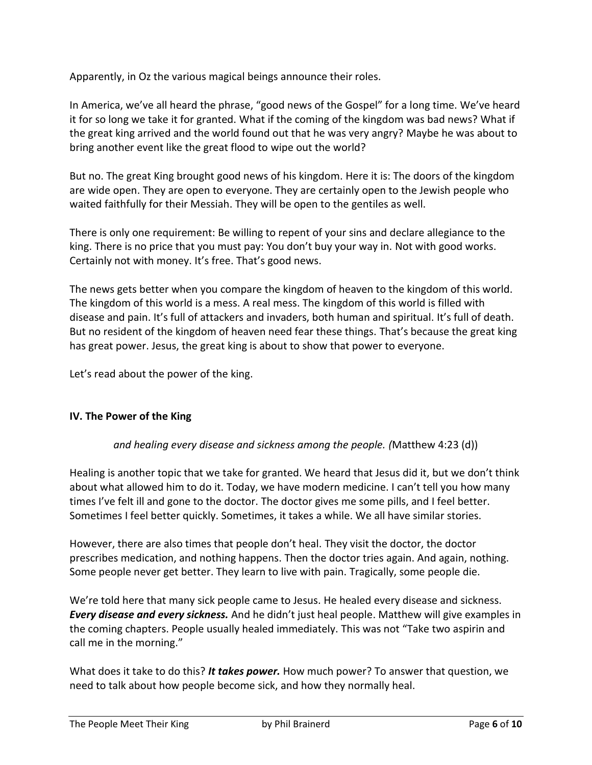Apparently, in Oz the various magical beings announce their roles.

In America, we've all heard the phrase, "good news of the Gospel" for a long time. We've heard it for so long we take it for granted. What if the coming of the kingdom was bad news? What if the great king arrived and the world found out that he was very angry? Maybe he was about to bring another event like the great flood to wipe out the world?

But no. The great King brought good news of his kingdom. Here it is: The doors of the kingdom are wide open. They are open to everyone. They are certainly open to the Jewish people who waited faithfully for their Messiah. They will be open to the gentiles as well.

There is only one requirement: Be willing to repent of your sins and declare allegiance to the king. There is no price that you must pay: You don't buy your way in. Not with good works. Certainly not with money. It's free. That's good news.

The news gets better when you compare the kingdom of heaven to the kingdom of this world. The kingdom of this world is a mess. A real mess. The kingdom of this world is filled with disease and pain. It's full of attackers and invaders, both human and spiritual. It's full of death. But no resident of the kingdom of heaven need fear these things. That's because the great king has great power. Jesus, the great king is about to show that power to everyone.

Let's read about the power of the king.

## **IV. The Power of the King**

## *and healing every disease and sickness among the people. (*Matthew 4:23 (d))

Healing is another topic that we take for granted. We heard that Jesus did it, but we don't think about what allowed him to do it. Today, we have modern medicine. I can't tell you how many times I've felt ill and gone to the doctor. The doctor gives me some pills, and I feel better. Sometimes I feel better quickly. Sometimes, it takes a while. We all have similar stories.

However, there are also times that people don't heal. They visit the doctor, the doctor prescribes medication, and nothing happens. Then the doctor tries again. And again, nothing. Some people never get better. They learn to live with pain. Tragically, some people die.

We're told here that many sick people came to Jesus. He healed every disease and sickness. *Every disease and every sickness.* And he didn't just heal people. Matthew will give examples in the coming chapters. People usually healed immediately. This was not "Take two aspirin and call me in the morning."

What does it take to do this? *It takes power.* How much power? To answer that question, we need to talk about how people become sick, and how they normally heal.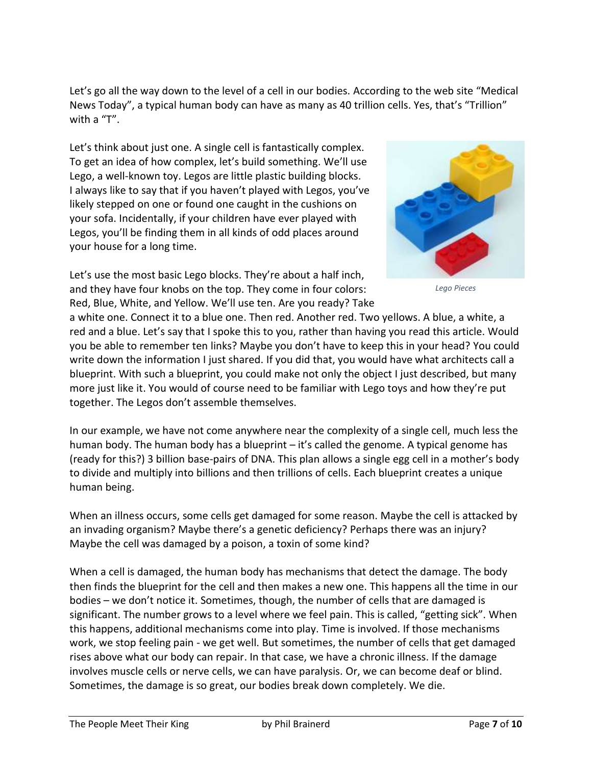Let's go all the way down to the level of a cell in our bodies. According to the web site "Medical News Today", a typical human body can have as many as 40 trillion cells. Yes, that's "Trillion" with a "T".

Let's think about just one. A single cell is fantastically complex. To get an idea of how complex, let's build something. We'll use Lego, a well-known toy. Legos are little plastic building blocks. I always like to say that if you haven't played with Legos, you've likely stepped on one or found one caught in the cushions on your sofa. Incidentally, if your children have ever played with Legos, you'll be finding them in all kinds of odd places around your house for a long time.

Let's use the most basic Lego blocks. They're about a half inch, and they have four knobs on the top. They come in four colors: Red, Blue, White, and Yellow. We'll use ten. Are you ready? Take



*Lego Pieces*

a white one. Connect it to a blue one. Then red. Another red. Two yellows. A blue, a white, a red and a blue. Let's say that I spoke this to you, rather than having you read this article. Would you be able to remember ten links? Maybe you don't have to keep this in your head? You could write down the information I just shared. If you did that, you would have what architects call a blueprint. With such a blueprint, you could make not only the object I just described, but many more just like it. You would of course need to be familiar with Lego toys and how they're put together. The Legos don't assemble themselves.

In our example, we have not come anywhere near the complexity of a single cell, much less the human body. The human body has a blueprint – it's called the genome. A typical genome has (ready for this?) 3 billion base-pairs of DNA. This plan allows a single egg cell in a mother's body to divide and multiply into billions and then trillions of cells. Each blueprint creates a unique human being.

When an illness occurs, some cells get damaged for some reason. Maybe the cell is attacked by an invading organism? Maybe there's a genetic deficiency? Perhaps there was an injury? Maybe the cell was damaged by a poison, a toxin of some kind?

When a cell is damaged, the human body has mechanisms that detect the damage. The body then finds the blueprint for the cell and then makes a new one. This happens all the time in our bodies – we don't notice it. Sometimes, though, the number of cells that are damaged is significant. The number grows to a level where we feel pain. This is called, "getting sick". When this happens, additional mechanisms come into play. Time is involved. If those mechanisms work, we stop feeling pain - we get well. But sometimes, the number of cells that get damaged rises above what our body can repair. In that case, we have a chronic illness. If the damage involves muscle cells or nerve cells, we can have paralysis. Or, we can become deaf or blind. Sometimes, the damage is so great, our bodies break down completely. We die.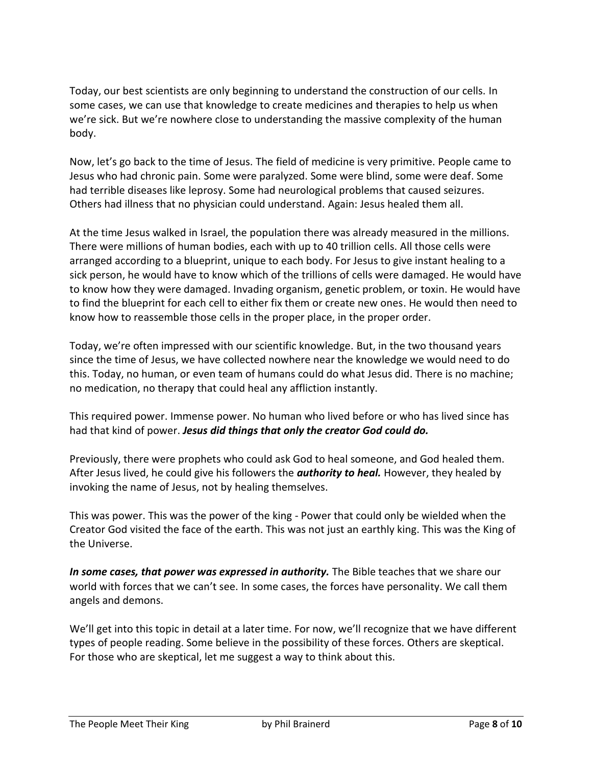Today, our best scientists are only beginning to understand the construction of our cells. In some cases, we can use that knowledge to create medicines and therapies to help us when we're sick. But we're nowhere close to understanding the massive complexity of the human body.

Now, let's go back to the time of Jesus. The field of medicine is very primitive. People came to Jesus who had chronic pain. Some were paralyzed. Some were blind, some were deaf. Some had terrible diseases like leprosy. Some had neurological problems that caused seizures. Others had illness that no physician could understand. Again: Jesus healed them all.

At the time Jesus walked in Israel, the population there was already measured in the millions. There were millions of human bodies, each with up to 40 trillion cells. All those cells were arranged according to a blueprint, unique to each body. For Jesus to give instant healing to a sick person, he would have to know which of the trillions of cells were damaged. He would have to know how they were damaged. Invading organism, genetic problem, or toxin. He would have to find the blueprint for each cell to either fix them or create new ones. He would then need to know how to reassemble those cells in the proper place, in the proper order.

Today, we're often impressed with our scientific knowledge. But, in the two thousand years since the time of Jesus, we have collected nowhere near the knowledge we would need to do this. Today, no human, or even team of humans could do what Jesus did. There is no machine; no medication, no therapy that could heal any affliction instantly.

This required power. Immense power. No human who lived before or who has lived since has had that kind of power. *Jesus did things that only the creator God could do.*

Previously, there were prophets who could ask God to heal someone, and God healed them. After Jesus lived, he could give his followers the *authority to heal.* However, they healed by invoking the name of Jesus, not by healing themselves.

This was power. This was the power of the king - Power that could only be wielded when the Creator God visited the face of the earth. This was not just an earthly king. This was the King of the Universe.

*In some cases, that power was expressed in authority.* The Bible teaches that we share our world with forces that we can't see. In some cases, the forces have personality. We call them angels and demons.

We'll get into this topic in detail at a later time. For now, we'll recognize that we have different types of people reading. Some believe in the possibility of these forces. Others are skeptical. For those who are skeptical, let me suggest a way to think about this.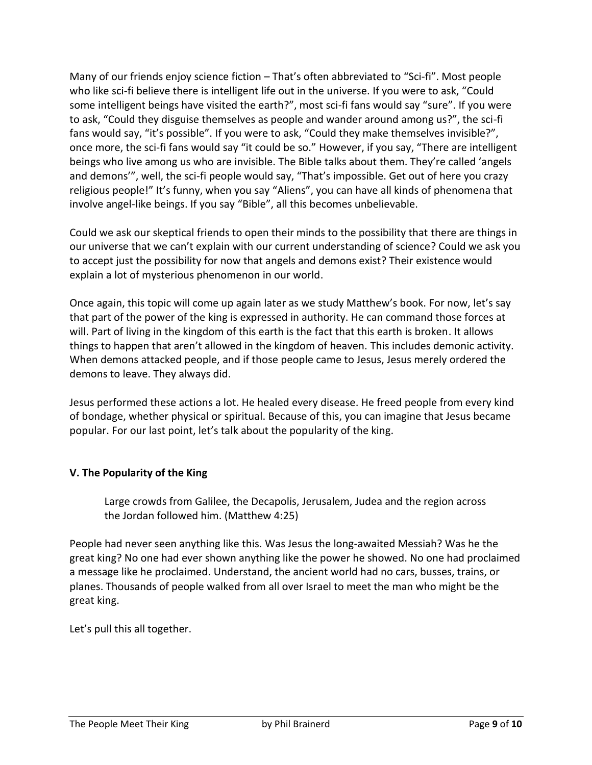Many of our friends enjoy science fiction – That's often abbreviated to "Sci-fi". Most people who like sci-fi believe there is intelligent life out in the universe. If you were to ask, "Could some intelligent beings have visited the earth?", most sci-fi fans would say "sure". If you were to ask, "Could they disguise themselves as people and wander around among us?", the sci-fi fans would say, "it's possible". If you were to ask, "Could they make themselves invisible?", once more, the sci-fi fans would say "it could be so." However, if you say, "There are intelligent beings who live among us who are invisible. The Bible talks about them. They're called 'angels and demons'", well, the sci-fi people would say, "That's impossible. Get out of here you crazy religious people!" It's funny, when you say "Aliens", you can have all kinds of phenomena that involve angel-like beings. If you say "Bible", all this becomes unbelievable.

Could we ask our skeptical friends to open their minds to the possibility that there are things in our universe that we can't explain with our current understanding of science? Could we ask you to accept just the possibility for now that angels and demons exist? Their existence would explain a lot of mysterious phenomenon in our world.

Once again, this topic will come up again later as we study Matthew's book. For now, let's say that part of the power of the king is expressed in authority. He can command those forces at will. Part of living in the kingdom of this earth is the fact that this earth is broken. It allows things to happen that aren't allowed in the kingdom of heaven. This includes demonic activity. When demons attacked people, and if those people came to Jesus, Jesus merely ordered the demons to leave. They always did.

Jesus performed these actions a lot. He healed every disease. He freed people from every kind of bondage, whether physical or spiritual. Because of this, you can imagine that Jesus became popular. For our last point, let's talk about the popularity of the king.

## **V. The Popularity of the King**

Large crowds from Galilee, the Decapolis, Jerusalem, Judea and the region across the Jordan followed him. (Matthew 4:25)

People had never seen anything like this. Was Jesus the long-awaited Messiah? Was he the great king? No one had ever shown anything like the power he showed. No one had proclaimed a message like he proclaimed. Understand, the ancient world had no cars, busses, trains, or planes. Thousands of people walked from all over Israel to meet the man who might be the great king.

Let's pull this all together.